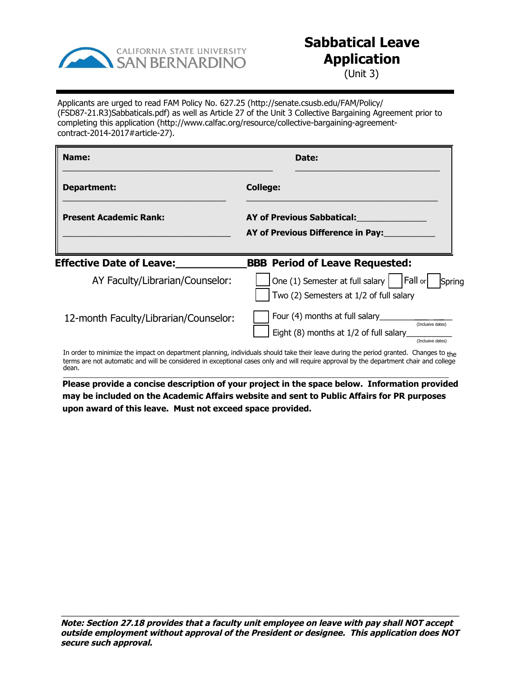

## **Sabbatical Leave Application**

(Unit 3)

Applicants are urged to read FAM Policy No. 627.25 (http://senate.csusb.edu/FAM/Policy/ (FSD87-21.R3)Sabbaticals.pdf) as well as Article 27 of the Unit 3 Collective Bargaining Agreement prior to completing this application (http://www.calfac.org/resource/collective-bargaining-agreementcontract-2014-2017#article-27).

| Name:                                 | Date:                                                                                                                                 |  |
|---------------------------------------|---------------------------------------------------------------------------------------------------------------------------------------|--|
| Department:                           | <b>College:</b>                                                                                                                       |  |
| <b>Present Academic Rank:</b>         | AY of Previous Sabbatical:<br>AY of Previous Difference in Pay:                                                                       |  |
| <b>Effective Date of Leave:</b>       | <b>SSS Period of Leave Requested:</b>                                                                                                 |  |
| AY Faculty/Librarian/Counselor:       | $\vert$ One (1) Semester at full salary $\vert$   Fall or<br>Spring<br>Two (2) Semesters at 1/2 of full salary                        |  |
| 12-month Faculty/Librarian/Counselor: | Four (4) months at full salary_<br>(Inclusive dates)<br>Eight (8) months at 1/2 of full salary<br>(Inclusive dates)                   |  |
|                                       | In order to minimize the impact on department planning, individuals should take their leave during the period granted. Changes to the |  |

to minimize the impact on department planning, individuals should take their leave during the period granted. Changes to the terms are not automatic and will be considered in exceptional cases only and will require approval by the department chair and college dean. \_\_\_\_\_\_\_\_\_\_\_\_\_\_\_\_\_\_\_\_\_\_\_\_\_\_\_\_\_\_\_\_\_\_\_\_\_\_\_\_\_\_\_\_\_\_\_\_\_\_\_\_\_\_\_\_\_\_\_\_\_\_\_\_\_\_\_\_\_\_\_\_\_\_\_\_\_\_\_\_\_\_\_\_\_\_\_\_\_\_\_\_\_\_\_\_\_\_\_\_\_\_

**Please provide a concise description of your project in the space below. Information provided may be included on the Academic Affairs website and sent to Public Affairs for PR purposes upon award of this leave. Must not exceed space provided.**